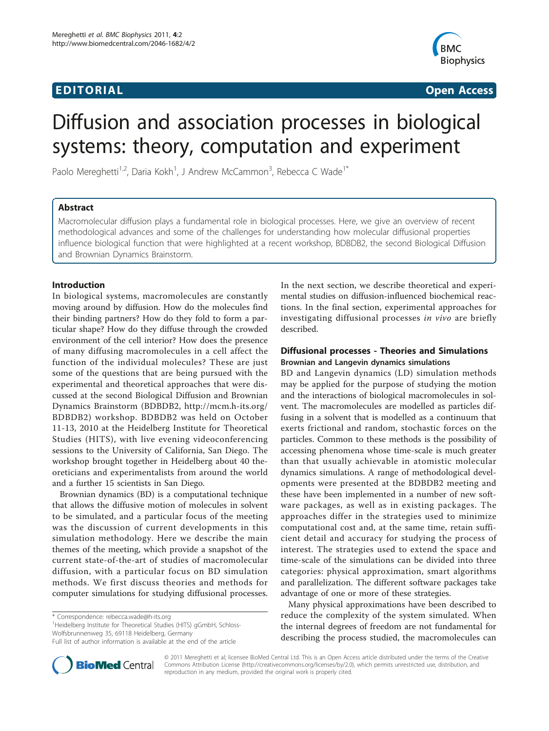# EDITORIAL CONTRACT CONTRACT CONTRACT CONTRACT CONTRACT CONTRACT CONTRACT CONTRACT CONTRACT CONTRACT CONTRACT CO



# Diffusion and association processes in biological systems: theory, computation and experiment

Paolo Mereghetti<sup>1,2</sup>, Daria Kokh<sup>1</sup>, J Andrew McCammon<sup>3</sup>, Rebecca C Wade<sup>1\*</sup>

# Abstract

Macromolecular diffusion plays a fundamental role in biological processes. Here, we give an overview of recent methodological advances and some of the challenges for understanding how molecular diffusional properties influence biological function that were highlighted at a recent workshop, BDBDB2, the second Biological Diffusion and Brownian Dynamics Brainstorm.

### Introduction

In biological systems, macromolecules are constantly moving around by diffusion. How do the molecules find their binding partners? How do they fold to form a particular shape? How do they diffuse through the crowded environment of the cell interior? How does the presence of many diffusing macromolecules in a cell affect the function of the individual molecules? These are just some of the questions that are being pursued with the experimental and theoretical approaches that were discussed at the second Biological Diffusion and Brownian Dynamics Brainstorm (BDBDB2, [http://mcm.h-its.org/](http://mcm.h-its.org/BDBDB2) [BDBDB2\)](http://mcm.h-its.org/BDBDB2) workshop. BDBDB2 was held on October 11-13, 2010 at the Heidelberg Institute for Theoretical Studies (HITS), with live evening videoconferencing sessions to the University of California, San Diego. The workshop brought together in Heidelberg about 40 theoreticians and experimentalists from around the world and a further 15 scientists in San Diego.

Brownian dynamics (BD) is a computational technique that allows the diffusive motion of molecules in solvent to be simulated, and a particular focus of the meeting was the discussion of current developments in this simulation methodology. Here we describe the main themes of the meeting, which provide a snapshot of the current state-of-the-art of studies of macromolecular diffusion, with a particular focus on BD simulation methods. We first discuss theories and methods for computer simulations for studying diffusional processes.

<sup>1</sup>Heidelberg Institute for Theoretical Studies (HITS) gGmbH, Schloss-Wolfsbrunnenweg 35, 69118 Heidelberg, Germany



## Diffusional processes - Theories and Simulations Brownian and Langevin dynamics simulations

BD and Langevin dynamics (LD) simulation methods may be applied for the purpose of studying the motion and the interactions of biological macromolecules in solvent. The macromolecules are modelled as particles diffusing in a solvent that is modelled as a continuum that exerts frictional and random, stochastic forces on the particles. Common to these methods is the possibility of accessing phenomena whose time-scale is much greater than that usually achievable in atomistic molecular dynamics simulations. A range of methodological developments were presented at the BDBDB2 meeting and these have been implemented in a number of new software packages, as well as in existing packages. The approaches differ in the strategies used to minimize computational cost and, at the same time, retain sufficient detail and accuracy for studying the process of interest. The strategies used to extend the space and time-scale of the simulations can be divided into three categories: physical approximation, smart algorithms and parallelization. The different software packages take advantage of one or more of these strategies.

Many physical approximations have been described to reduce the complexity of the system simulated. When the internal degrees of freedom are not fundamental for describing the process studied, the macromolecules can



© 2011 Mereghetti et al; licensee BioMed Central Ltd. This is an Open Access article distributed under the terms of the Creative Commons Attribution License [\(http://creativecommons.org/licenses/by/2.0](http://creativecommons.org/licenses/by/2.0)), which permits unrestricted use, distribution, and reproduction in any medium, provided the original work is properly cited.

<sup>\*</sup> Correspondence: [rebecca.wade@h-its.org](mailto:rebecca.wade@h-its.org)

Full list of author information is available at the end of the article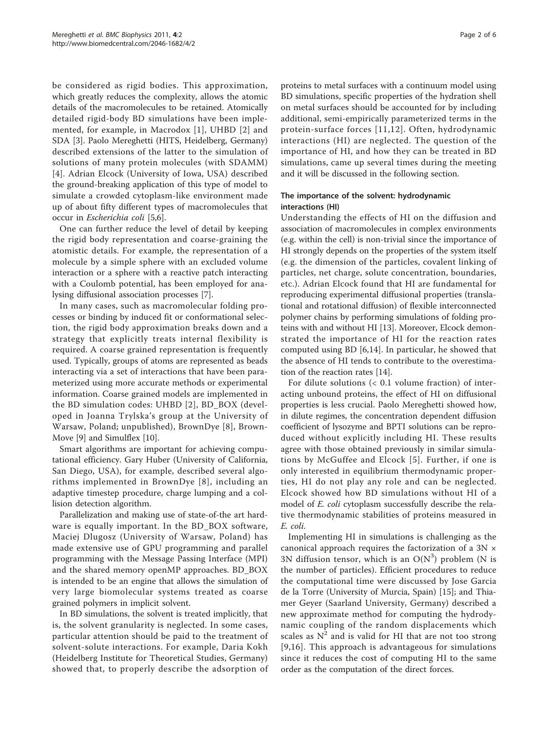be considered as rigid bodies. This approximation, which greatly reduces the complexity, allows the atomic details of the macromolecules to be retained. Atomically detailed rigid-body BD simulations have been implemented, for example, in Macrodox [[1\]](#page-4-0), UHBD [[2](#page-4-0)] and SDA [\[3](#page-5-0)]. Paolo Mereghetti (HITS, Heidelberg, Germany) described extensions of the latter to the simulation of solutions of many protein molecules (with SDAMM) [[4](#page-5-0)]. Adrian Elcock (University of Iowa, USA) described the ground-breaking application of this type of model to simulate a crowded cytoplasm-like environment made up of about fifty different types of macromolecules that occur in Escherichia coli [\[5,6](#page-5-0)].

One can further reduce the level of detail by keeping the rigid body representation and coarse-graining the atomistic details. For example, the representation of a molecule by a simple sphere with an excluded volume interaction or a sphere with a reactive patch interacting with a Coulomb potential, has been employed for analysing diffusional association processes [\[7](#page-5-0)].

In many cases, such as macromolecular folding processes or binding by induced fit or conformational selection, the rigid body approximation breaks down and a strategy that explicitly treats internal flexibility is required. A coarse grained representation is frequently used. Typically, groups of atoms are represented as beads interacting via a set of interactions that have been parameterized using more accurate methods or experimental information. Coarse grained models are implemented in the BD simulation codes: UHBD [[2](#page-4-0)], BD\_BOX (developed in Joanna Trylska's group at the University of Warsaw, Poland; unpublished), BrownDye [[8\]](#page-5-0), Brown-Move [[9](#page-5-0)] and Simulflex [[10\]](#page-5-0).

Smart algorithms are important for achieving computational efficiency. Gary Huber (University of California, San Diego, USA), for example, described several algorithms implemented in BrownDye [[8](#page-5-0)], including an adaptive timestep procedure, charge lumping and a collision detection algorithm.

Parallelization and making use of state-of-the art hardware is equally important. In the BD\_BOX software, Maciej Dlugosz (University of Warsaw, Poland) has made extensive use of GPU programming and parallel programming with the Message Passing Interface (MPI) and the shared memory openMP approaches. BD\_BOX is intended to be an engine that allows the simulation of very large biomolecular systems treated as coarse grained polymers in implicit solvent.

In BD simulations, the solvent is treated implicitly, that is, the solvent granularity is neglected. In some cases, particular attention should be paid to the treatment of solvent-solute interactions. For example, Daria Kokh (Heidelberg Institute for Theoretical Studies, Germany) showed that, to properly describe the adsorption of

proteins to metal surfaces with a continuum model using BD simulations, specific properties of the hydration shell on metal surfaces should be accounted for by including additional, semi-empirically parameterized terms in the protein-surface forces [[11](#page-5-0),[12](#page-5-0)]. Often, hydrodynamic interactions (HI) are neglected. The question of the importance of HI, and how they can be treated in BD simulations, came up several times during the meeting and it will be discussed in the following section.

# The importance of the solvent: hydrodynamic interactions (HI)

Understanding the effects of HI on the diffusion and association of macromolecules in complex environments (e.g. within the cell) is non-trivial since the importance of HI strongly depends on the properties of the system itself (e.g. the dimension of the particles, covalent linking of particles, net charge, solute concentration, boundaries, etc.). Adrian Elcock found that HI are fundamental for reproducing experimental diffusional properties (translational and rotational diffusion) of flexible interconnected polymer chains by performing simulations of folding proteins with and without HI [\[13\]](#page-5-0). Moreover, Elcock demonstrated the importance of HI for the reaction rates computed using BD [\[6](#page-5-0),[14](#page-5-0)]. In particular, he showed that the absence of HI tends to contribute to the overestimation of the reaction rates [[14](#page-5-0)].

For dilute solutions (< 0.1 volume fraction) of interacting unbound proteins, the effect of HI on diffusional properties is less crucial. Paolo Mereghetti showed how, in dilute regimes, the concentration dependent diffusion coefficient of lysozyme and BPTI solutions can be reproduced without explicitly including HI. These results agree with those obtained previously in similar simulations by McGuffee and Elcock [[5\]](#page-5-0). Further, if one is only interested in equilibrium thermodynamic properties, HI do not play any role and can be neglected. Elcock showed how BD simulations without HI of a model of E. coli cytoplasm successfully describe the relative thermodynamic stabilities of proteins measured in E. coli.

Implementing HI in simulations is challenging as the canonical approach requires the factorization of a 3N × 3N diffusion tensor, which is an  $O(N^3)$  problem (N is the number of particles). Efficient procedures to reduce the computational time were discussed by Jose Garcia de la Torre (University of Murcia, Spain) [[15\]](#page-5-0); and Thiamer Geyer (Saarland University, Germany) described a new approximate method for computing the hydrodynamic coupling of the random displacements which scales as  $N^2$  and is valid for HI that are not too strong [[9](#page-5-0),[16](#page-5-0)]. This approach is advantageous for simulations since it reduces the cost of computing HI to the same order as the computation of the direct forces.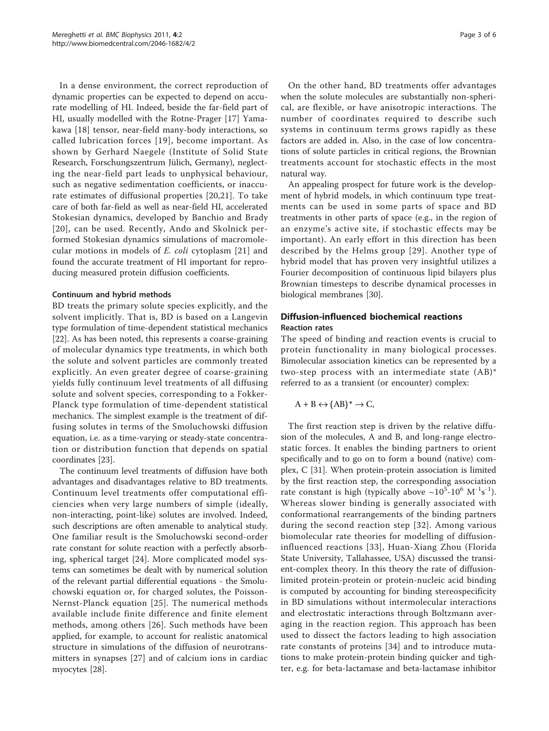In a dense environment, the correct reproduction of dynamic properties can be expected to depend on accurate modelling of HI. Indeed, beside the far-field part of HI, usually modelled with the Rotne-Prager [[17\]](#page-5-0) Yamakawa [\[18](#page-5-0)] tensor, near-field many-body interactions, so called lubrication forces [[19](#page-5-0)], become important. As shown by Gerhard Naegele (Institute of Solid State Research, Forschungszentrum Jülich, Germany), neglecting the near-field part leads to unphysical behaviour, such as negative sedimentation coefficients, or inaccurate estimates of diffusional properties [[20,21](#page-5-0)]. To take care of both far-field as well as near-field HI, accelerated Stokesian dynamics, developed by Banchio and Brady [[20\]](#page-5-0), can be used. Recently, Ando and Skolnick performed Stokesian dynamics simulations of macromolecular motions in models of E. coli cytoplasm [[21](#page-5-0)] and found the accurate treatment of HI important for reproducing measured protein diffusion coefficients.

### Continuum and hybrid methods

BD treats the primary solute species explicitly, and the solvent implicitly. That is, BD is based on a Langevin type formulation of time-dependent statistical mechanics [[22\]](#page-5-0). As has been noted, this represents a coarse-graining of molecular dynamics type treatments, in which both the solute and solvent particles are commonly treated explicitly. An even greater degree of coarse-graining yields fully continuum level treatments of all diffusing solute and solvent species, corresponding to a Fokker-Planck type formulation of time-dependent statistical mechanics. The simplest example is the treatment of diffusing solutes in terms of the Smoluchowski diffusion equation, i.e. as a time-varying or steady-state concentration or distribution function that depends on spatial coordinates [[23](#page-5-0)].

The continuum level treatments of diffusion have both advantages and disadvantages relative to BD treatments. Continuum level treatments offer computational efficiencies when very large numbers of simple (ideally, non-interacting, point-like) solutes are involved. Indeed, such descriptions are often amenable to analytical study. One familiar result is the Smoluchowski second-order rate constant for solute reaction with a perfectly absorbing, spherical target [[24\]](#page-5-0). More complicated model systems can sometimes be dealt with by numerical solution of the relevant partial differential equations - the Smoluchowski equation or, for charged solutes, the Poisson-Nernst-Planck equation [[25](#page-5-0)]. The numerical methods available include finite difference and finite element methods, among others [\[26\]](#page-5-0). Such methods have been applied, for example, to account for realistic anatomical structure in simulations of the diffusion of neurotransmitters in synapses [[27\]](#page-5-0) and of calcium ions in cardiac myocytes [[28](#page-5-0)].

On the other hand, BD treatments offer advantages when the solute molecules are substantially non-spherical, are flexible, or have anisotropic interactions. The number of coordinates required to describe such systems in continuum terms grows rapidly as these factors are added in. Also, in the case of low concentrations of solute particles in critical regions, the Brownian treatments account for stochastic effects in the most natural way.

An appealing prospect for future work is the development of hybrid models, in which continuum type treatments can be used in some parts of space and BD treatments in other parts of space (e.g., in the region of an enzyme's active site, if stochastic effects may be important). An early effort in this direction has been described by the Helms group [[29\]](#page-5-0). Another type of hybrid model that has proven very insightful utilizes a Fourier decomposition of continuous lipid bilayers plus Brownian timesteps to describe dynamical processes in biological membranes [[30](#page-5-0)].

# Diffusion-influenced biochemical reactions Reaction rates

The speed of binding and reaction events is crucial to protein functionality in many biological processes. Bimolecular association kinetics can be represented by a two-step process with an intermediate state (AB)\* referred to as a transient (or encounter) complex:

$$
A + B \leftrightarrow (AB)^* \rightarrow C,
$$

The first reaction step is driven by the relative diffusion of the molecules, A and B, and long-range electrostatic forces. It enables the binding partners to orient specifically and to go on to form a bound (native) complex, C [\[31\]](#page-5-0). When protein-protein association is limited by the first reaction step, the corresponding association rate constant is high (typically above  $\sim 10^{5}$ -10<sup>6</sup> M<sup>-1</sup>s<sup>-1</sup>). Whereas slower binding is generally associated with conformational rearrangements of the binding partners during the second reaction step [[32\]](#page-5-0). Among various biomolecular rate theories for modelling of diffusioninfluenced reactions [[33](#page-5-0)], Huan-Xiang Zhou (Florida State University, Tallahassee, USA) discussed the transient-complex theory. In this theory the rate of diffusionlimited protein-protein or protein-nucleic acid binding is computed by accounting for binding stereospecificity in BD simulations without intermolecular interactions and electrostatic interactions through Boltzmann averaging in the reaction region. This approach has been used to dissect the factors leading to high association rate constants of proteins [\[34](#page-5-0)] and to introduce mutations to make protein-protein binding quicker and tighter, e.g. for beta-lactamase and beta-lactamase inhibitor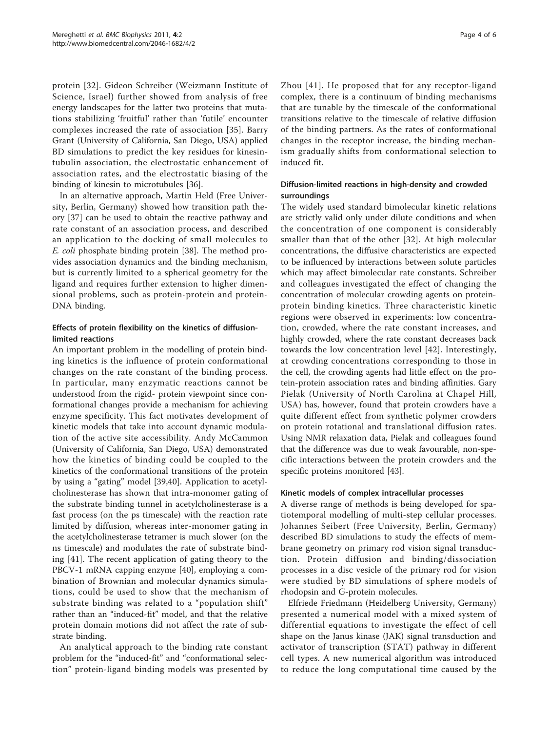protein [[32](#page-5-0)]. Gideon Schreiber (Weizmann Institute of Science, Israel) further showed from analysis of free energy landscapes for the latter two proteins that mutations stabilizing 'fruitful' rather than 'futile' encounter complexes increased the rate of association [[35\]](#page-5-0). Barry Grant (University of California, San Diego, USA) applied BD simulations to predict the key residues for kinesintubulin association, the electrostatic enhancement of association rates, and the electrostatic biasing of the binding of kinesin to microtubules [\[36](#page-5-0)].

In an alternative approach, Martin Held (Free University, Berlin, Germany) showed how transition path theory [[37](#page-5-0)] can be used to obtain the reactive pathway and rate constant of an association process, and described an application to the docking of small molecules to E. coli phosphate binding protein [\[38](#page-5-0)]. The method provides association dynamics and the binding mechanism, but is currently limited to a spherical geometry for the ligand and requires further extension to higher dimensional problems, such as protein-protein and protein-DNA binding.

# Effects of protein flexibility on the kinetics of diffusionlimited reactions

An important problem in the modelling of protein binding kinetics is the influence of protein conformational changes on the rate constant of the binding process. In particular, many enzymatic reactions cannot be understood from the rigid- protein viewpoint since conformational changes provide a mechanism for achieving enzyme specificity. This fact motivates development of kinetic models that take into account dynamic modulation of the active site accessibility. Andy McCammon (University of California, San Diego, USA) demonstrated how the kinetics of binding could be coupled to the kinetics of the conformational transitions of the protein by using a "gating" model [\[39,40](#page-5-0)]. Application to acetylcholinesterase has shown that intra-monomer gating of the substrate binding tunnel in acetylcholinesterase is a fast process (on the ps timescale) with the reaction rate limited by diffusion, whereas inter-monomer gating in the acetylcholinesterase tetramer is much slower (on the ns timescale) and modulates the rate of substrate binding [\[41](#page-5-0)]. The recent application of gating theory to the PBCV-1 mRNA capping enzyme [[40](#page-5-0)], employing a combination of Brownian and molecular dynamics simulations, could be used to show that the mechanism of substrate binding was related to a "population shift" rather than an "induced-fit" model, and that the relative protein domain motions did not affect the rate of substrate binding.

An analytical approach to the binding rate constant problem for the "induced-fit" and "conformational selection" protein-ligand binding models was presented by

Zhou [[41](#page-5-0)]. He proposed that for any receptor-ligand complex, there is a continuum of binding mechanisms that are tunable by the timescale of the conformational transitions relative to the timescale of relative diffusion of the binding partners. As the rates of conformational changes in the receptor increase, the binding mechanism gradually shifts from conformational selection to induced fit.

# Diffusion-limited reactions in high-density and crowded surroundings

The widely used standard bimolecular kinetic relations are strictly valid only under dilute conditions and when the concentration of one component is considerably smaller than that of the other [[32\]](#page-5-0). At high molecular concentrations, the diffusive characteristics are expected to be influenced by interactions between solute particles which may affect bimolecular rate constants. Schreiber and colleagues investigated the effect of changing the concentration of molecular crowding agents on proteinprotein binding kinetics. Three characteristic kinetic regions were observed in experiments: low concentration, crowded, where the rate constant increases, and highly crowded, where the rate constant decreases back towards the low concentration level [\[42\]](#page-5-0). Interestingly, at crowding concentrations corresponding to those in the cell, the crowding agents had little effect on the protein-protein association rates and binding affinities. Gary Pielak (University of North Carolina at Chapel Hill, USA) has, however, found that protein crowders have a quite different effect from synthetic polymer crowders on protein rotational and translational diffusion rates. Using NMR relaxation data, Pielak and colleagues found that the difference was due to weak favourable, non-specific interactions between the protein crowders and the specific proteins monitored [\[43](#page-5-0)].

## Kinetic models of complex intracellular processes

A diverse range of methods is being developed for spatiotemporal modelling of multi-step cellular processes. Johannes Seibert (Free University, Berlin, Germany) described BD simulations to study the effects of membrane geometry on primary rod vision signal transduction. Protein diffusion and binding/dissociation processes in a disc vesicle of the primary rod for vision were studied by BD simulations of sphere models of rhodopsin and G-protein molecules.

Elfriede Friedmann (Heidelberg University, Germany) presented a numerical model with a mixed system of differential equations to investigate the effect of cell shape on the Janus kinase (JAK) signal transduction and activator of transcription (STAT) pathway in different cell types. A new numerical algorithm was introduced to reduce the long computational time caused by the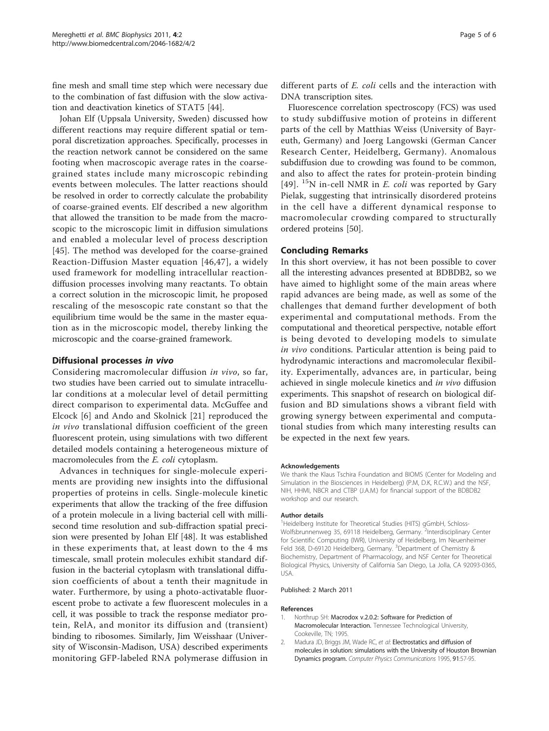<span id="page-4-0"></span>fine mesh and small time step which were necessary due to the combination of fast diffusion with the slow activation and deactivation kinetics of STAT5 [\[44](#page-5-0)].

Johan Elf (Uppsala University, Sweden) discussed how different reactions may require different spatial or temporal discretization approaches. Specifically, processes in the reaction network cannot be considered on the same footing when macroscopic average rates in the coarsegrained states include many microscopic rebinding events between molecules. The latter reactions should be resolved in order to correctly calculate the probability of coarse-grained events. Elf described a new algorithm that allowed the transition to be made from the macroscopic to the microscopic limit in diffusion simulations and enabled a molecular level of process description [[45\]](#page-5-0). The method was developed for the coarse-grained Reaction-Diffusion Master equation [[46](#page-5-0),[47](#page-5-0)], a widely used framework for modelling intracellular reactiondiffusion processes involving many reactants. To obtain a correct solution in the microscopic limit, he proposed rescaling of the mesoscopic rate constant so that the equilibrium time would be the same in the master equation as in the microscopic model, thereby linking the microscopic and the coarse-grained framework.

#### Diffusional processes in vivo

Considering macromolecular diffusion in vivo, so far, two studies have been carried out to simulate intracellular conditions at a molecular level of detail permitting direct comparison to experimental data. McGuffee and Elcock [[6](#page-5-0)] and Ando and Skolnick [\[21\]](#page-5-0) reproduced the in vivo translational diffusion coefficient of the green fluorescent protein, using simulations with two different detailed models containing a heterogeneous mixture of macromolecules from the E. coli cytoplasm.

Advances in techniques for single-molecule experiments are providing new insights into the diffusional properties of proteins in cells. Single-molecule kinetic experiments that allow the tracking of the free diffusion of a protein molecule in a living bacterial cell with millisecond time resolution and sub-diffraction spatial precision were presented by Johan Elf [\[48](#page-5-0)]. It was established in these experiments that, at least down to the 4 ms timescale, small protein molecules exhibit standard diffusion in the bacterial cytoplasm with translational diffusion coefficients of about a tenth their magnitude in water. Furthermore, by using a photo-activatable fluorescent probe to activate a few fluorescent molecules in a cell, it was possible to track the response mediator protein, RelA, and monitor its diffusion and (transient) binding to ribosomes. Similarly, Jim Weisshaar (University of Wisconsin-Madison, USA) described experiments monitoring GFP-labeled RNA polymerase diffusion in

different parts of E. coli cells and the interaction with DNA transcription sites.

Fluorescence correlation spectroscopy (FCS) was used to study subdiffusive motion of proteins in different parts of the cell by Matthias Weiss (University of Bayreuth, Germany) and Joerg Langowski (German Cancer Research Center, Heidelberg, Germany). Anomalous subdiffusion due to crowding was found to be common, and also to affect the rates for protein-protein binding [[49](#page-5-0)].  $^{15}N$  in-cell NMR in *E. coli* was reported by Gary Pielak, suggesting that intrinsically disordered proteins in the cell have a different dynamical response to macromolecular crowding compared to structurally ordered proteins [\[50\]](#page-5-0).

#### Concluding Remarks

In this short overview, it has not been possible to cover all the interesting advances presented at BDBDB2, so we have aimed to highlight some of the main areas where rapid advances are being made, as well as some of the challenges that demand further development of both experimental and computational methods. From the computational and theoretical perspective, notable effort is being devoted to developing models to simulate in vivo conditions. Particular attention is being paid to hydrodynamic interactions and macromolecular flexibility. Experimentally, advances are, in particular, being achieved in single molecule kinetics and in vivo diffusion experiments. This snapshot of research on biological diffusion and BD simulations shows a vibrant field with growing synergy between experimental and computational studies from which many interesting results can be expected in the next few years.

#### Acknowledgements

We thank the Klaus Tschira Foundation and BIOMS (Center for Modeling and Simulation in the Biosciences in Heidelberg) (P.M, D.K, R.C.W.) and the NSF, NIH, HHMI, NBCR and CTBP (J.A.M.) for financial support of the BDBDB2 workshop and our research.

#### Author details

<sup>1</sup>Heidelberg Institute for Theoretical Studies (HITS) gGmbH, Schloss-Wolfsbrunnenweg 35, 69118 Heidelberg, Germany. <sup>2</sup>Interdisciplinary Center for Scientific Computing (IWR), University of Heidelberg, Im Neuenheimer Feld 368, D-69120 Heidelberg, Germany. <sup>3</sup>Department of Chemistry & Biochemistry, Department of Pharmacology, and NSF Center for Theoretical Biological Physics, University of California San Diego, La Jolla, CA 92093-0365, USA.

#### Published: 2 March 2011

#### References

- Northrup SH: Macrodox v.2.0.2: Software for Prediction of Macromolecular Interaction. Tennessee Technological University, Cookeville, TN; 1995.
- 2. Madura JD, Briggs JM, Wade RC, et al: Electrostatics and diffusion of molecules in solution: simulations with the University of Houston Brownian Dynamics program. Computer Physics Communications 1995, 91:57-95.